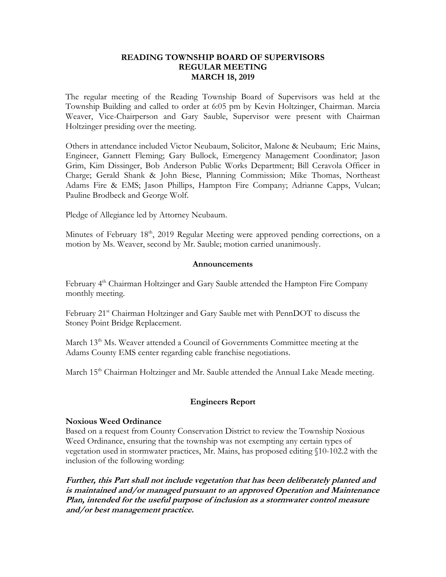#### **READING TOWNSHIP BOARD OF SUPERVISORS REGULAR MEETING MARCH 18, 2019**

The regular meeting of the Reading Township Board of Supervisors was held at the Township Building and called to order at 6:05 pm by Kevin Holtzinger, Chairman. Marcia Weaver, Vice-Chairperson and Gary Sauble, Supervisor were present with Chairman Holtzinger presiding over the meeting.

Others in attendance included Victor Neubaum, Solicitor, Malone & Neubaum; Eric Mains, Engineer, Gannett Fleming; Gary Bullock, Emergency Management Coordinator; Jason Grim, Kim Dissinger, Bob Anderson Public Works Department; Bill Ceravola Officer in Charge; Gerald Shank & John Biese, Planning Commission; Mike Thomas, Northeast Adams Fire & EMS; Jason Phillips, Hampton Fire Company; Adrianne Capps, Vulcan; Pauline Brodbeck and George Wolf.

Pledge of Allegiance led by Attorney Neubaum.

Minutes of February 18<sup>th</sup>, 2019 Regular Meeting were approved pending corrections, on a motion by Ms. Weaver, second by Mr. Sauble; motion carried unanimously.

#### **Announcements**

February 4<sup>th</sup> Chairman Holtzinger and Gary Sauble attended the Hampton Fire Company monthly meeting.

February 21<sup>st</sup> Chairman Holtzinger and Gary Sauble met with PennDOT to discuss the Stoney Point Bridge Replacement.

March 13<sup>th</sup> Ms. Weaver attended a Council of Governments Committee meeting at the Adams County EMS center regarding cable franchise negotiations.

March 15<sup>th</sup> Chairman Holtzinger and Mr. Sauble attended the Annual Lake Meade meeting.

#### **Engineers Report**

#### **Noxious Weed Ordinance**

Based on a request from County Conservation District to review the Township Noxious Weed Ordinance, ensuring that the township was not exempting any certain types of vegetation used in stormwater practices, Mr. Mains, has proposed editing §10-102.2 with the inclusion of the following wording:

**Further, this Part shall not include vegetation that has been deliberately planted and is maintained and/or managed pursuant to an approved Operation and Maintenance Plan, intended for the useful purpose of inclusion as a stormwater control measure and/or best management practice.**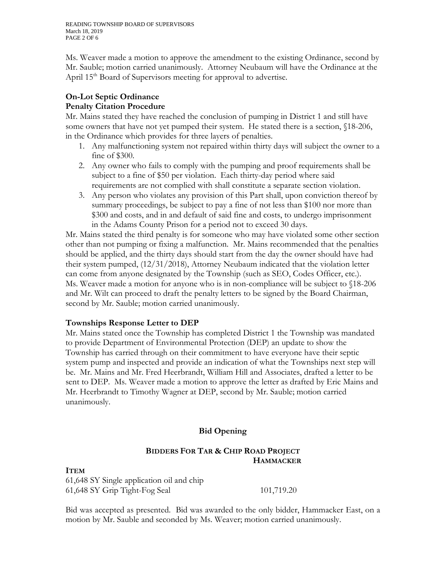Ms. Weaver made a motion to approve the amendment to the existing Ordinance, second by Mr. Sauble; motion carried unanimously. Attorney Neubaum will have the Ordinance at the April 15<sup>th</sup> Board of Supervisors meeting for approval to advertise.

# **On-Lot Septic Ordinance**

# **Penalty Citation Procedure**

Mr. Mains stated they have reached the conclusion of pumping in District 1 and still have some owners that have not yet pumped their system. He stated there is a section, §18-206, in the Ordinance which provides for three layers of penalties.

- 1. Any malfunctioning system not repaired within thirty days will subject the owner to a fine of \$300.
- 2. Any owner who fails to comply with the pumping and proof requirements shall be subject to a fine of \$50 per violation. Each thirty-day period where said requirements are not complied with shall constitute a separate section violation.
- 3. Any person who violates any provision of this Part shall, upon conviction thereof by summary proceedings, be subject to pay a fine of not less than \$100 nor more than \$300 and costs, and in and default of said fine and costs, to undergo imprisonment in the Adams County Prison for a period not to exceed 30 days.

Mr. Mains stated the third penalty is for someone who may have violated some other section other than not pumping or fixing a malfunction. Mr. Mains recommended that the penalties should be applied, and the thirty days should start from the day the owner should have had their system pumped, (12/31/2018), Attorney Neubaum indicated that the violation letter can come from anyone designated by the Township (such as SEO, Codes Officer, etc.). Ms. Weaver made a motion for anyone who is in non-compliance will be subject to §18-206 and Mr. Wilt can proceed to draft the penalty letters to be signed by the Board Chairman, second by Mr. Sauble; motion carried unanimously.

# **Townships Response Letter to DEP**

Mr. Mains stated once the Township has completed District 1 the Township was mandated to provide Department of Environmental Protection (DEP) an update to show the Township has carried through on their commitment to have everyone have their septic system pump and inspected and provide an indication of what the Townships next step will be. Mr. Mains and Mr. Fred Heerbrandt, William Hill and Associates, drafted a letter to be sent to DEP. Ms. Weaver made a motion to approve the letter as drafted by Eric Mains and Mr. Heerbrandt to Timothy Wagner at DEP, second by Mr. Sauble; motion carried unanimously.

# **Bid Opening**

### **BIDDERS FOR TAR & CHIP ROAD PROJECT HAMMACKER**

#### **ITEM**

61,648 SY Single application oil and chip 61,648 SY Grip Tight-Fog Seal 101,719.20

Bid was accepted as presented. Bid was awarded to the only bidder, Hammacker East, on a motion by Mr. Sauble and seconded by Ms. Weaver; motion carried unanimously.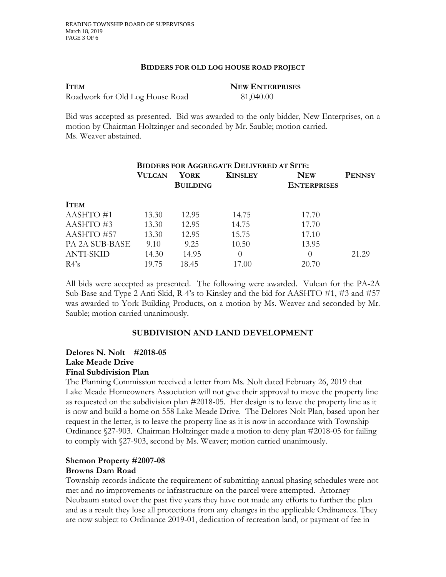#### **BIDDERS FOR OLD LOG HOUSE ROAD PROJECT**

**ITEM NEW ENTERPRISES**  Roadwork for Old Log House Road 81,040.00

Bid was accepted as presented. Bid was awarded to the only bidder, New Enterprises, on a motion by Chairman Holtzinger and seconded by Mr. Sauble; motion carried. Ms. Weaver abstained.

|                  | <b>BIDDERS FOR AGGREGATE DELIVERED AT SITE:</b> |                 |                |                    |               |
|------------------|-------------------------------------------------|-----------------|----------------|--------------------|---------------|
|                  | <b>VULCAN</b>                                   | YORK            | <b>KINSLEY</b> | <b>NEW</b>         | <b>PENNSY</b> |
|                  |                                                 | <b>BUILDING</b> |                | <b>ENTERPRISES</b> |               |
| <b>ITEM</b>      |                                                 |                 |                |                    |               |
| AASHTO#1         | 13.30                                           | 12.95           | 14.75          | 17.70              |               |
| AASHTO#3         | 13.30                                           | 12.95           | 14.75          | 17.70              |               |
| AASHTO #57       | 13.30                                           | 12.95           | 15.75          | 17.10              |               |
| PA 2A SUB-BASE   | 9.10                                            | 9.25            | 10.50          | 13.95              |               |
| <b>ANTI-SKID</b> | 14.30                                           | 14.95           | 0              | $\left( \right)$   | 21.29         |
| $R4$ 's          | 19.75                                           | 18.45           | 17.00          | 20.70              |               |

All bids were accepted as presented. The following were awarded. Vulcan for the PA-2A Sub-Base and Type 2 Anti-Skid, R-4's to Kinsley and the bid for AASHTO #1, #3 and #57 was awarded to York Building Products, on a motion by Ms. Weaver and seconded by Mr. Sauble; motion carried unanimously.

# **SUBDIVISION AND LAND DEVELOPMENT**

#### **Delores N. Nolt #2018-05 Lake Meade Drive Final Subdivision Plan**

The Planning Commission received a letter from Ms. Nolt dated February 26, 2019 that Lake Meade Homeowners Association will not give their approval to move the property line as requested on the subdivision plan #2018-05. Her design is to leave the property line as it is now and build a home on 558 Lake Meade Drive. The Delores Nolt Plan, based upon her request in the letter, is to leave the property line as it is now in accordance with Township Ordinance §27-903. Chairman Holtzinger made a motion to deny plan #2018-05 for failing to comply with §27-903, second by Ms. Weaver; motion carried unanimously.

#### **Shemon Property #2007-08 Browns Dam Road**

Township records indicate the requirement of submitting annual phasing schedules were not met and no improvements or infrastructure on the parcel were attempted. Attorney Neubaum stated over the past five years they have not made any efforts to further the plan and as a result they lose all protections from any changes in the applicable Ordinances. They are now subject to Ordinance 2019-01, dedication of recreation land, or payment of fee in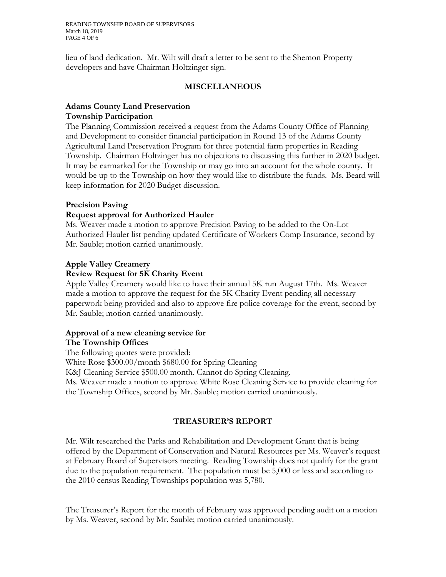READING TOWNSHIP BOARD OF SUPERVISORS March 18, 2019 PAGE 4 OF 6

lieu of land dedication. Mr. Wilt will draft a letter to be sent to the Shemon Property developers and have Chairman Holtzinger sign.

#### **MISCELLANEOUS**

#### **Adams County Land Preservation Township Participation**

The Planning Commission received a request from the Adams County Office of Planning and Development to consider financial participation in Round 13 of the Adams County Agricultural Land Preservation Program for three potential farm properties in Reading Township. Chairman Holtzinger has no objections to discussing this further in 2020 budget. It may be earmarked for the Township or may go into an account for the whole county. It would be up to the Township on how they would like to distribute the funds. Ms. Beard will keep information for 2020 Budget discussion.

#### **Precision Paving**

#### **Request approval for Authorized Hauler**

Ms. Weaver made a motion to approve Precision Paving to be added to the On-Lot Authorized Hauler list pending updated Certificate of Workers Comp Insurance, second by Mr. Sauble; motion carried unanimously.

#### **Apple Valley Creamery**

#### **Review Request for 5K Charity Event**

Apple Valley Creamery would like to have their annual 5K run August 17th. Ms. Weaver made a motion to approve the request for the 5K Charity Event pending all necessary paperwork being provided and also to approve fire police coverage for the event, second by Mr. Sauble; motion carried unanimously.

# **Approval of a new cleaning service for**

#### **The Township Offices**

The following quotes were provided: White Rose \$300.00/month \$680.00 for Spring Cleaning K&J Cleaning Service \$500.00 month. Cannot do Spring Cleaning. Ms. Weaver made a motion to approve White Rose Cleaning Service to provide cleaning for the Township Offices, second by Mr. Sauble; motion carried unanimously.

#### **TREASURER'S REPORT**

Mr. Wilt researched the Parks and Rehabilitation and Development Grant that is being offered by the Department of Conservation and Natural Resources per Ms. Weaver's request at February Board of Supervisors meeting. Reading Township does not qualify for the grant due to the population requirement. The population must be 5,000 or less and according to the 2010 census Reading Townships population was 5,780.

The Treasurer's Report for the month of February was approved pending audit on a motion by Ms. Weaver, second by Mr. Sauble; motion carried unanimously.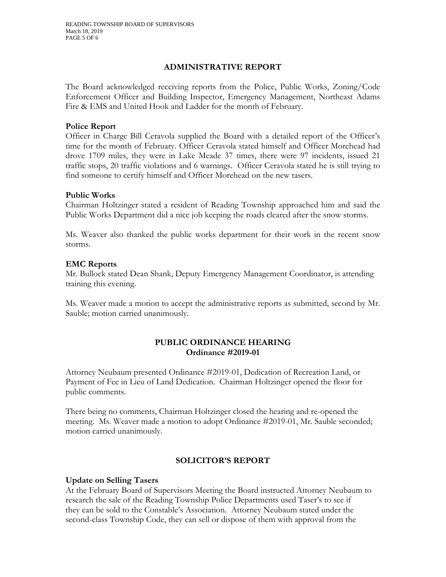#### **ADMINISTRATIVE REPORT**

The Board acknowledged receiving reports from the Police, Public Works, Zoning/Code Enforcement Officer and Building Inspector, Emergency Management, Northeast Adams Fire & EMS and United Hook and Ladder for the month of February.

#### **Police Report**

Officer in Charge Bill Ceravola supplied the Board with a detailed report of the Officer's time for the month of February. Officer Ceravola stated himself and Officer Morehead had drove 1709 miles, they were in Lake Meade 37 times, there were 97 incidents, issued 21 traffic stops, 20 traffic violations and 6 warnings. Officer Ceravola stated he is still trying to find someone to certify himself and Officer Morehead on the new tasers.

#### **Public Works**

Chairman Holtzinger stated a resident of Reading Township approached him and said the Public Works Department did a nice job keeping the roads cleared after the snow storms.

Ms. Weaver also thanked the public works department for their work in the recent snow storms.

#### **EMC Reports**

Mr. Bullock stated Dean Shank, Deputy Emergency Management Coordinator, is attending training this evening.

Ms. Weaver made a motion to accept the administrative reports as submitted, second by Mr. Sauble; motion carried unanimously.

#### **PUBLIC ORDINANCE HEARING Ordinance #2019-01**

Attorney Neubaum presented Ordinance #2019-01, Dedication of Recreation Land, or Payment of Fee in Lieu of Land Dedication. Chairman Holtzinger opened the floor for public comments.

There being no comments, Chairman Holtzinger closed the hearing and re-opened the meeting. Ms. Weaver made a motion to adopt Ordinance #2019-01, Mr. Sauble seconded; motion carried unanimously.

#### **SOLICITOR'S REPORT**

#### **Update on Selling Tasers**

At the February Board of Supervisors Meeting the Board instructed Attorney Neubaum to research the sale of the Reading Township Police Departments used Taser's to see if they can be sold to the Constable's Association. Attorney Neubaum stated under the second-class Township Code, they can sell or dispose of them with approval from the